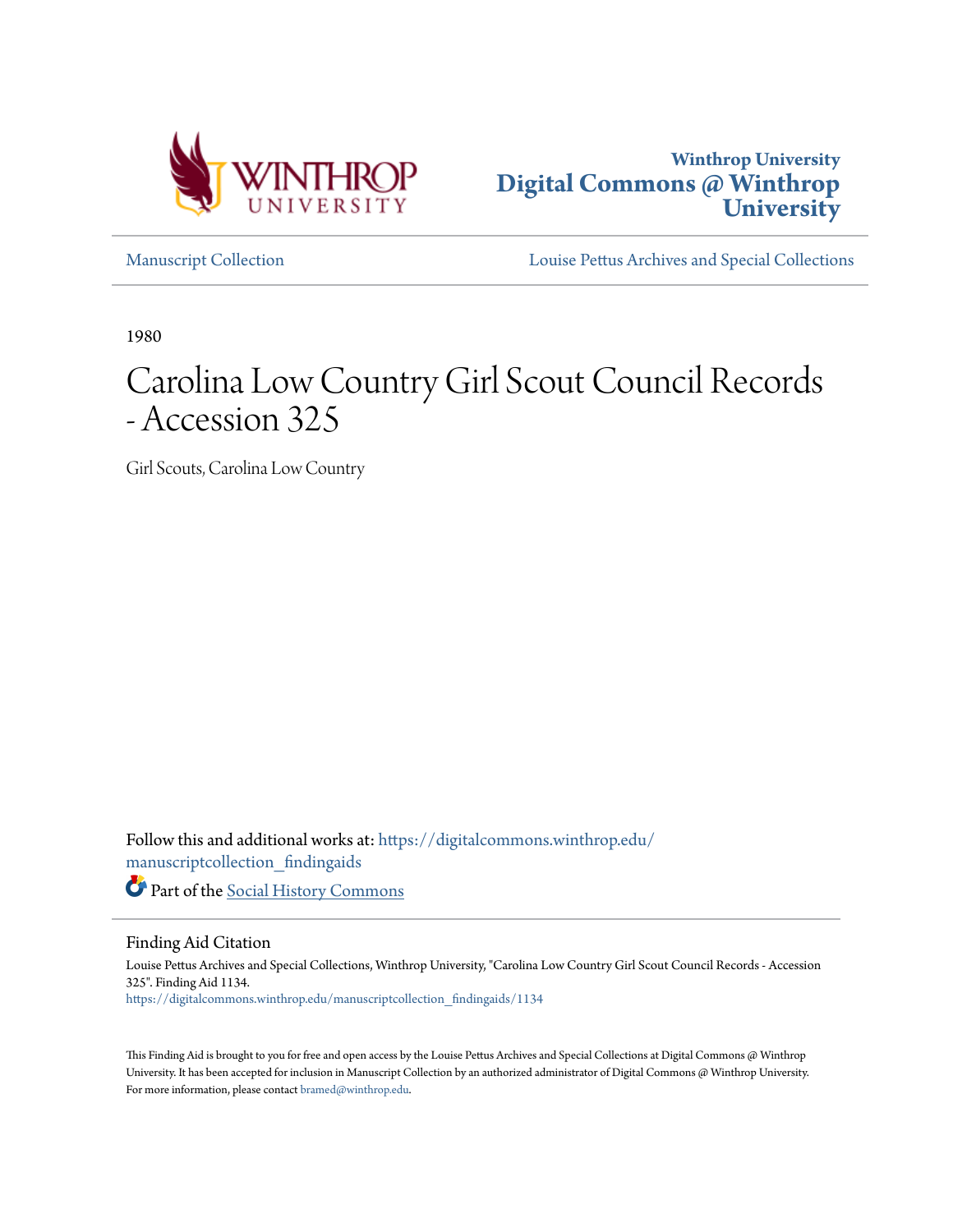



[Manuscript Collection](https://digitalcommons.winthrop.edu/manuscriptcollection_findingaids?utm_source=digitalcommons.winthrop.edu%2Fmanuscriptcollection_findingaids%2F1134&utm_medium=PDF&utm_campaign=PDFCoverPages) [Louise Pettus Archives and Special Collections](https://digitalcommons.winthrop.edu/pettus_archives?utm_source=digitalcommons.winthrop.edu%2Fmanuscriptcollection_findingaids%2F1134&utm_medium=PDF&utm_campaign=PDFCoverPages)

1980

# Carolina Low Country Girl Scout Council Records - Accession 325

Girl Scouts, Carolina Low Country

Follow this and additional works at: [https://digitalcommons.winthrop.edu/](https://digitalcommons.winthrop.edu/manuscriptcollection_findingaids?utm_source=digitalcommons.winthrop.edu%2Fmanuscriptcollection_findingaids%2F1134&utm_medium=PDF&utm_campaign=PDFCoverPages) [manuscriptcollection\\_findingaids](https://digitalcommons.winthrop.edu/manuscriptcollection_findingaids?utm_source=digitalcommons.winthrop.edu%2Fmanuscriptcollection_findingaids%2F1134&utm_medium=PDF&utm_campaign=PDFCoverPages)

Part of the [Social History Commons](http://network.bepress.com/hgg/discipline/506?utm_source=digitalcommons.winthrop.edu%2Fmanuscriptcollection_findingaids%2F1134&utm_medium=PDF&utm_campaign=PDFCoverPages)

Finding Aid Citation

Louise Pettus Archives and Special Collections, Winthrop University, "Carolina Low Country Girl Scout Council Records - Accession 325". Finding Aid 1134. [https://digitalcommons.winthrop.edu/manuscriptcollection\\_findingaids/1134](https://digitalcommons.winthrop.edu/manuscriptcollection_findingaids/1134?utm_source=digitalcommons.winthrop.edu%2Fmanuscriptcollection_findingaids%2F1134&utm_medium=PDF&utm_campaign=PDFCoverPages)

This Finding Aid is brought to you for free and open access by the Louise Pettus Archives and Special Collections at Digital Commons @ Winthrop University. It has been accepted for inclusion in Manuscript Collection by an authorized administrator of Digital Commons @ Winthrop University. For more information, please contact [bramed@winthrop.edu.](mailto:bramed@winthrop.edu)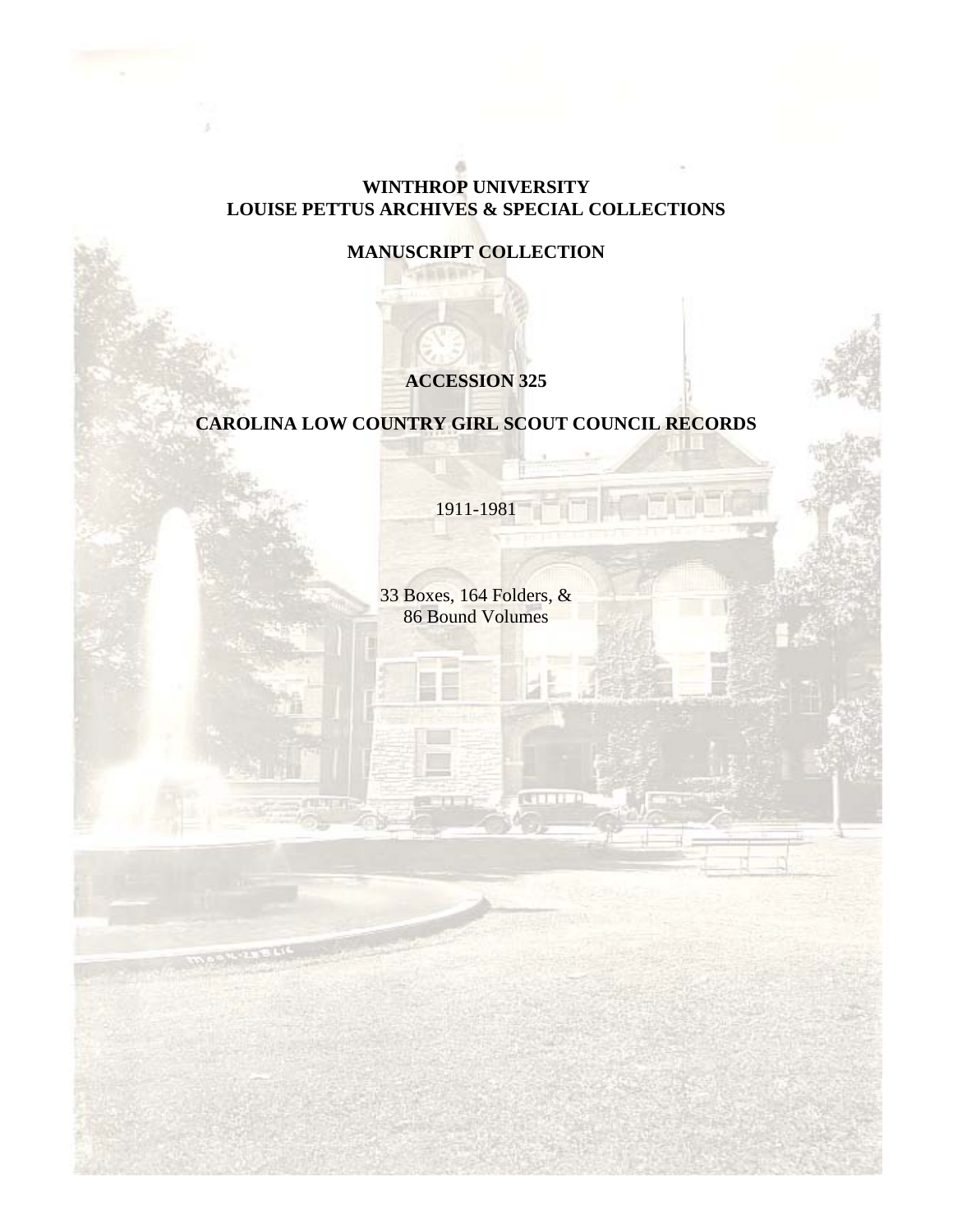## **WINTHROP UNIVERSITY LOUISE PETTUS ARCHIVES & SPECIAL COLLECTIONS**

# **MANUSCRIPT COLLECTION**

# **ACCESSION 325**

# **CAROLINA LOW COUNTRY GIRL SCOUT COUNCIL RECORDS**

1911-1981

33 Boxes, 164 Folders, & 86 Bound Volumes

**COLLED**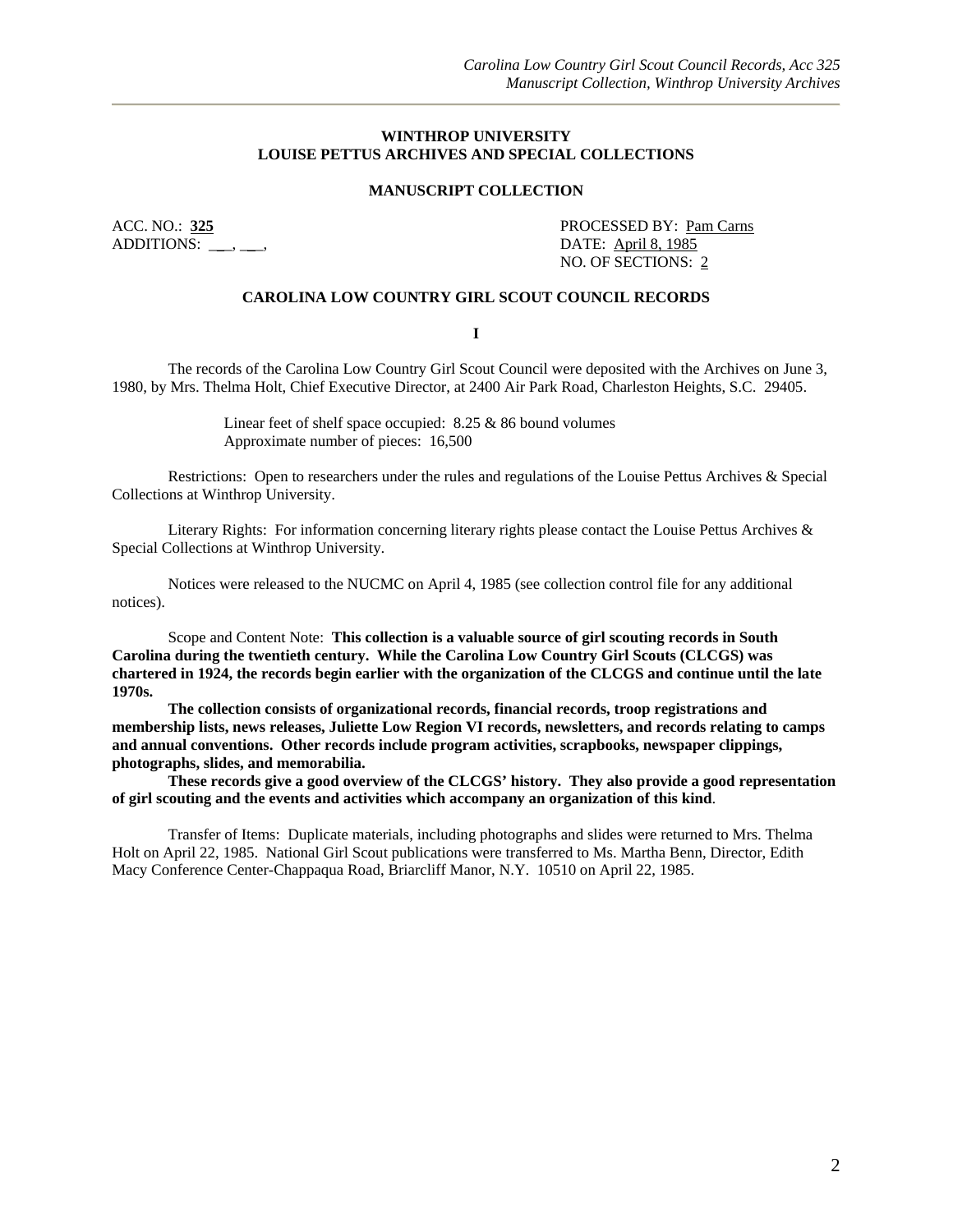#### **WINTHROP UNIVERSITY LOUISE PETTUS ARCHIVES AND SPECIAL COLLECTIONS**

#### **MANUSCRIPT COLLECTION**

ADDITIONS: \_\_\_, \_\_, DATE: <u>April 8, 1985</u>

ACC. NO.: 325 **PROCESSED BY: Pam Carns** NO. OF SECTIONS: 2

#### **CAROLINA LOW COUNTRY GIRL SCOUT COUNCIL RECORDS**

**I** 

The records of the Carolina Low Country Girl Scout Council were deposited with the Archives on June 3, 1980, by Mrs. Thelma Holt, Chief Executive Director, at 2400 Air Park Road, Charleston Heights, S.C. 29405.

> Linear feet of shelf space occupied: 8.25 & 86 bound volumes Approximate number of pieces: 16,500

Restrictions: Open to researchers under the rules and regulations of the Louise Pettus Archives & Special Collections at Winthrop University.

Literary Rights: For information concerning literary rights please contact the Louise Pettus Archives & Special Collections at Winthrop University.

Notices were released to the NUCMC on April 4, 1985 (see collection control file for any additional notices).

Scope and Content Note: **This collection is a valuable source of girl scouting records in South Carolina during the twentieth century. While the Carolina Low Country Girl Scouts (CLCGS) was chartered in 1924, the records begin earlier with the organization of the CLCGS and continue until the late 1970s.** 

**The collection consists of organizational records, financial records, troop registrations and membership lists, news releases, Juliette Low Region VI records, newsletters, and records relating to camps and annual conventions. Other records include program activities, scrapbooks, newspaper clippings, photographs, slides, and memorabilia.** 

**These records give a good overview of the CLCGS' history. They also provide a good representation of girl scouting and the events and activities which accompany an organization of this kind**.

Transfer of Items: Duplicate materials, including photographs and slides were returned to Mrs. Thelma Holt on April 22, 1985. National Girl Scout publications were transferred to Ms. Martha Benn, Director, Edith Macy Conference Center-Chappaqua Road, Briarcliff Manor, N.Y. 10510 on April 22, 1985.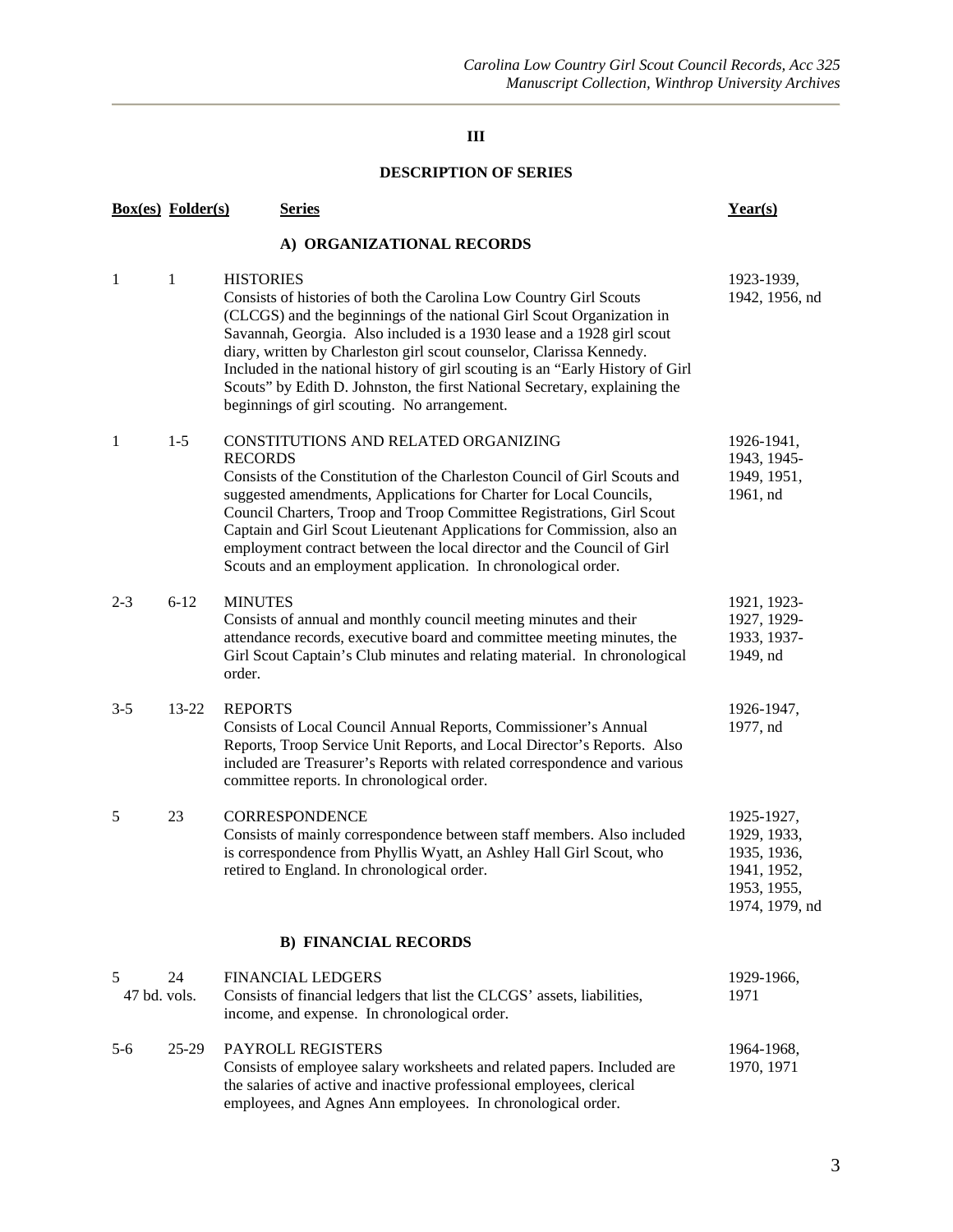#### **DESCRIPTION OF SERIES**

|                   | <b>Box(es)</b> Folder(s)    | <b>Series</b>                                                                                                                                                                                                                                                                                                                                                                                                                                                                                                                     | Year(s)                                                                                  |  |  |  |
|-------------------|-----------------------------|-----------------------------------------------------------------------------------------------------------------------------------------------------------------------------------------------------------------------------------------------------------------------------------------------------------------------------------------------------------------------------------------------------------------------------------------------------------------------------------------------------------------------------------|------------------------------------------------------------------------------------------|--|--|--|
|                   |                             | A) ORGANIZATIONAL RECORDS                                                                                                                                                                                                                                                                                                                                                                                                                                                                                                         |                                                                                          |  |  |  |
| 1                 | 1                           | <b>HISTORIES</b><br>Consists of histories of both the Carolina Low Country Girl Scouts<br>(CLCGS) and the beginnings of the national Girl Scout Organization in<br>Savannah, Georgia. Also included is a 1930 lease and a 1928 girl scout<br>diary, written by Charleston girl scout counselor, Clarissa Kennedy.<br>Included in the national history of girl scouting is an "Early History of Girl<br>Scouts" by Edith D. Johnston, the first National Secretary, explaining the<br>beginnings of girl scouting. No arrangement. | 1923-1939,<br>1942, 1956, nd                                                             |  |  |  |
| 1                 | $1-5$                       | CONSTITUTIONS AND RELATED ORGANIZING<br><b>RECORDS</b><br>Consists of the Constitution of the Charleston Council of Girl Scouts and<br>suggested amendments, Applications for Charter for Local Councils,<br>Council Charters, Troop and Troop Committee Registrations, Girl Scout<br>Captain and Girl Scout Lieutenant Applications for Commission, also an<br>employment contract between the local director and the Council of Girl<br>Scouts and an employment application. In chronological order.                           | 1926-1941,<br>1943, 1945-<br>1949, 1951,<br>1961, nd                                     |  |  |  |
| $2 - 3$           | $6 - 12$                    | <b>MINUTES</b><br>Consists of annual and monthly council meeting minutes and their<br>attendance records, executive board and committee meeting minutes, the<br>Girl Scout Captain's Club minutes and relating material. In chronological<br>order.                                                                                                                                                                                                                                                                               | 1921, 1923-<br>1927, 1929-<br>1933, 1937-<br>1949, nd                                    |  |  |  |
| $3 - 5$           | 13-22                       | <b>REPORTS</b><br>Consists of Local Council Annual Reports, Commissioner's Annual<br>Reports, Troop Service Unit Reports, and Local Director's Reports. Also<br>included are Treasurer's Reports with related correspondence and various<br>committee reports. In chronological order.                                                                                                                                                                                                                                            | 1926-1947,<br>1977, nd                                                                   |  |  |  |
| 5                 | 23                          | <b>CORRESPONDENCE</b><br>Consists of mainly correspondence between staff members. Also included<br>is correspondence from Phyllis Wyatt, an Ashley Hall Girl Scout, who<br>retired to England. In chronological order.                                                                                                                                                                                                                                                                                                            | 1925-1927,<br>1929, 1933,<br>1935, 1936,<br>1941, 1952,<br>1953, 1955,<br>1974, 1979, nd |  |  |  |
|                   | <b>B) FINANCIAL RECORDS</b> |                                                                                                                                                                                                                                                                                                                                                                                                                                                                                                                                   |                                                                                          |  |  |  |
| 5<br>47 bd. vols. | 24                          | <b>FINANCIAL LEDGERS</b><br>Consists of financial ledgers that list the CLCGS' assets, liabilities,<br>income, and expense. In chronological order.                                                                                                                                                                                                                                                                                                                                                                               | 1929-1966,<br>1971                                                                       |  |  |  |
| 5-6               | $25-29$                     | PAYROLL REGISTERS<br>Consists of employee salary worksheets and related papers. Included are<br>the salaries of active and inactive professional employees, clerical<br>employees, and Agnes Ann employees. In chronological order.                                                                                                                                                                                                                                                                                               | 1964-1968,<br>1970, 1971                                                                 |  |  |  |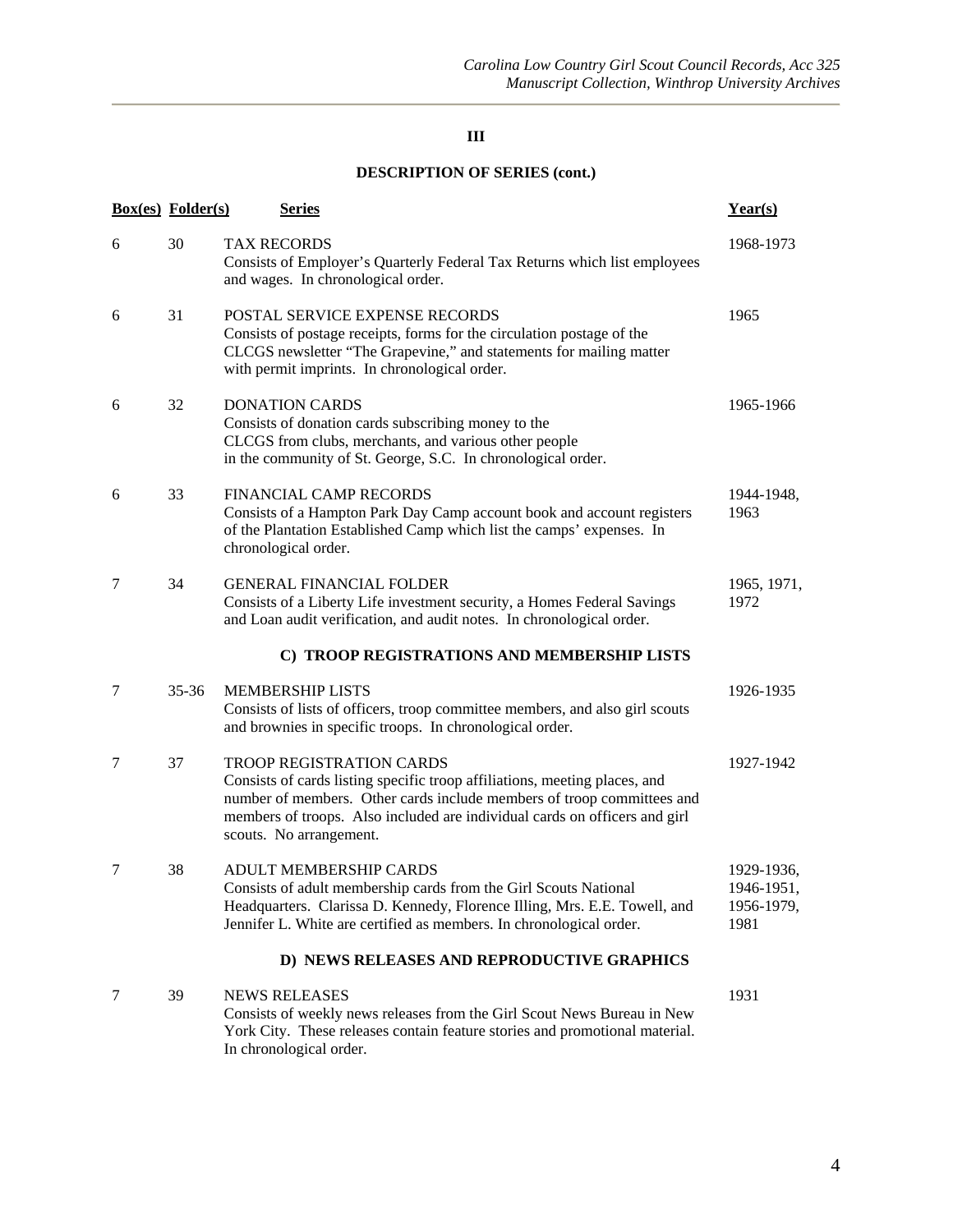|   | <b>Box(es)</b> Folder(s) | <b>Series</b>                                                                                                                                                                                                                                                                                    | Year(s)                                        |
|---|--------------------------|--------------------------------------------------------------------------------------------------------------------------------------------------------------------------------------------------------------------------------------------------------------------------------------------------|------------------------------------------------|
| 6 | 30                       | <b>TAX RECORDS</b><br>Consists of Employer's Quarterly Federal Tax Returns which list employees<br>and wages. In chronological order.                                                                                                                                                            | 1968-1973                                      |
| 6 | 31                       | POSTAL SERVICE EXPENSE RECORDS<br>Consists of postage receipts, forms for the circulation postage of the<br>CLCGS newsletter "The Grapevine," and statements for mailing matter<br>with permit imprints. In chronological order.                                                                 | 1965                                           |
| 6 | 32                       | <b>DONATION CARDS</b><br>Consists of donation cards subscribing money to the<br>CLCGS from clubs, merchants, and various other people<br>in the community of St. George, S.C. In chronological order.                                                                                            | 1965-1966                                      |
| 6 | 33                       | <b>FINANCIAL CAMP RECORDS</b><br>Consists of a Hampton Park Day Camp account book and account registers<br>of the Plantation Established Camp which list the camps' expenses. In<br>chronological order.                                                                                         | 1944-1948,<br>1963                             |
| 7 | 34                       | <b>GENERAL FINANCIAL FOLDER</b><br>Consists of a Liberty Life investment security, a Homes Federal Savings<br>and Loan audit verification, and audit notes. In chronological order.                                                                                                              | 1965, 1971,<br>1972                            |
|   |                          | C) TROOP REGISTRATIONS AND MEMBERSHIP LISTS                                                                                                                                                                                                                                                      |                                                |
| 7 | $35 - 36$                | <b>MEMBERSHIP LISTS</b><br>Consists of lists of officers, troop committee members, and also girl scouts<br>and brownies in specific troops. In chronological order.                                                                                                                              | 1926-1935                                      |
| 7 | 37                       | <b>TROOP REGISTRATION CARDS</b><br>Consists of cards listing specific troop affiliations, meeting places, and<br>number of members. Other cards include members of troop committees and<br>members of troops. Also included are individual cards on officers and girl<br>scouts. No arrangement. | 1927-1942                                      |
| 7 | 38                       | <b>ADULT MEMBERSHIP CARDS</b><br>Consists of adult membership cards from the Girl Scouts National<br>Headquarters. Clarissa D. Kennedy, Florence Illing, Mrs. E.E. Towell, and<br>Jennifer L. White are certified as members. In chronological order.                                            | 1929-1936,<br>1946-1951,<br>1956-1979,<br>1981 |
|   |                          | D) NEWS RELEASES AND REPRODUCTIVE GRAPHICS                                                                                                                                                                                                                                                       |                                                |
| 7 | 39                       | <b>NEWS RELEASES</b><br>Consists of weekly news releases from the Girl Scout News Bureau in New<br>York City. These releases contain feature stories and promotional material.<br>In chronological order.                                                                                        | 1931                                           |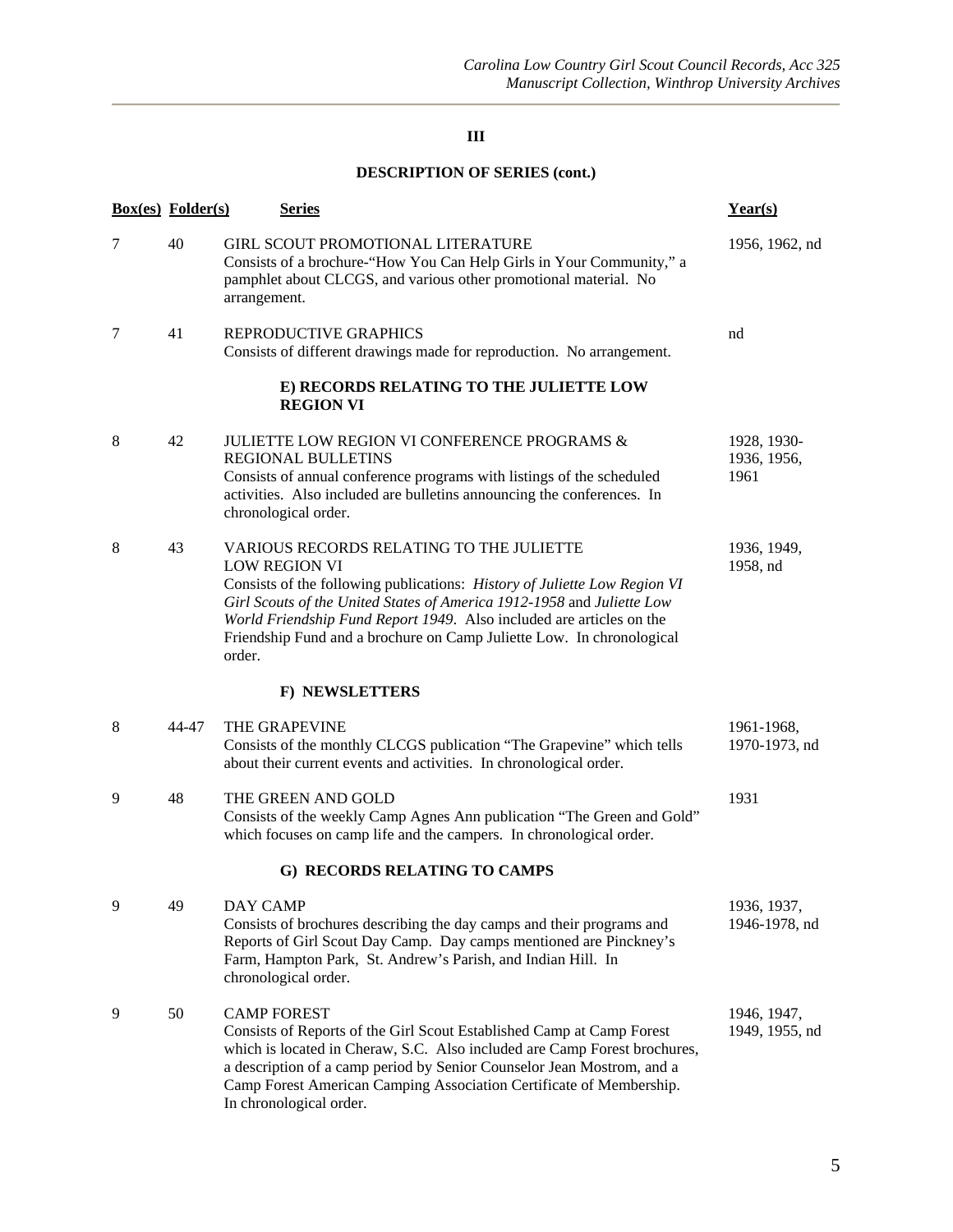|   | <b>Box(es)</b> Folder(s) |                 | <u>Series</u>                                                                                                                                                                                                                                                                                                                                                            | Year(s)                            |
|---|--------------------------|-----------------|--------------------------------------------------------------------------------------------------------------------------------------------------------------------------------------------------------------------------------------------------------------------------------------------------------------------------------------------------------------------------|------------------------------------|
| 7 | 40                       | arrangement.    | <b>GIRL SCOUT PROMOTIONAL LITERATURE</b><br>Consists of a brochure-"How You Can Help Girls in Your Community," a<br>pamphlet about CLCGS, and various other promotional material. No                                                                                                                                                                                     | 1956, 1962, nd                     |
| 7 | 41                       |                 | REPRODUCTIVE GRAPHICS<br>Consists of different drawings made for reproduction. No arrangement.                                                                                                                                                                                                                                                                           | nd                                 |
|   |                          |                 | E) RECORDS RELATING TO THE JULIETTE LOW<br><b>REGION VI</b>                                                                                                                                                                                                                                                                                                              |                                    |
| 8 | 42                       |                 | <b>JULIETTE LOW REGION VI CONFERENCE PROGRAMS &amp;</b><br><b>REGIONAL BULLETINS</b><br>Consists of annual conference programs with listings of the scheduled<br>activities. Also included are bulletins announcing the conferences. In<br>chronological order.                                                                                                          | 1928, 1930-<br>1936, 1956,<br>1961 |
| 8 | 43                       | order.          | VARIOUS RECORDS RELATING TO THE JULIETTE<br><b>LOW REGION VI</b><br>Consists of the following publications: History of Juliette Low Region VI<br>Girl Scouts of the United States of America 1912-1958 and Juliette Low<br>World Friendship Fund Report 1949. Also included are articles on the<br>Friendship Fund and a brochure on Camp Juliette Low. In chronological | 1936, 1949,<br>1958, nd            |
|   |                          |                 | F) NEWSLETTERS                                                                                                                                                                                                                                                                                                                                                           |                                    |
| 8 | 44-47                    |                 | THE GRAPEVINE<br>Consists of the monthly CLCGS publication "The Grapevine" which tells<br>about their current events and activities. In chronological order.                                                                                                                                                                                                             | 1961-1968,<br>1970-1973, nd        |
| 9 | 48                       |                 | THE GREEN AND GOLD<br>Consists of the weekly Camp Agnes Ann publication "The Green and Gold"<br>which focuses on camp life and the campers. In chronological order.                                                                                                                                                                                                      | 1931                               |
|   |                          |                 | G) RECORDS RELATING TO CAMPS                                                                                                                                                                                                                                                                                                                                             |                                    |
| 9 | 49                       | <b>DAY CAMP</b> | Consists of brochures describing the day camps and their programs and<br>Reports of Girl Scout Day Camp. Day camps mentioned are Pinckney's<br>Farm, Hampton Park, St. Andrew's Parish, and Indian Hill. In<br>chronological order.                                                                                                                                      | 1936, 1937,<br>1946-1978, nd       |
| 9 | 50                       |                 | <b>CAMP FOREST</b><br>Consists of Reports of the Girl Scout Established Camp at Camp Forest<br>which is located in Cheraw, S.C. Also included are Camp Forest brochures,<br>a description of a camp period by Senior Counselor Jean Mostrom, and a<br>Camp Forest American Camping Association Certificate of Membership.<br>In chronological order.                     | 1946, 1947,<br>1949, 1955, nd      |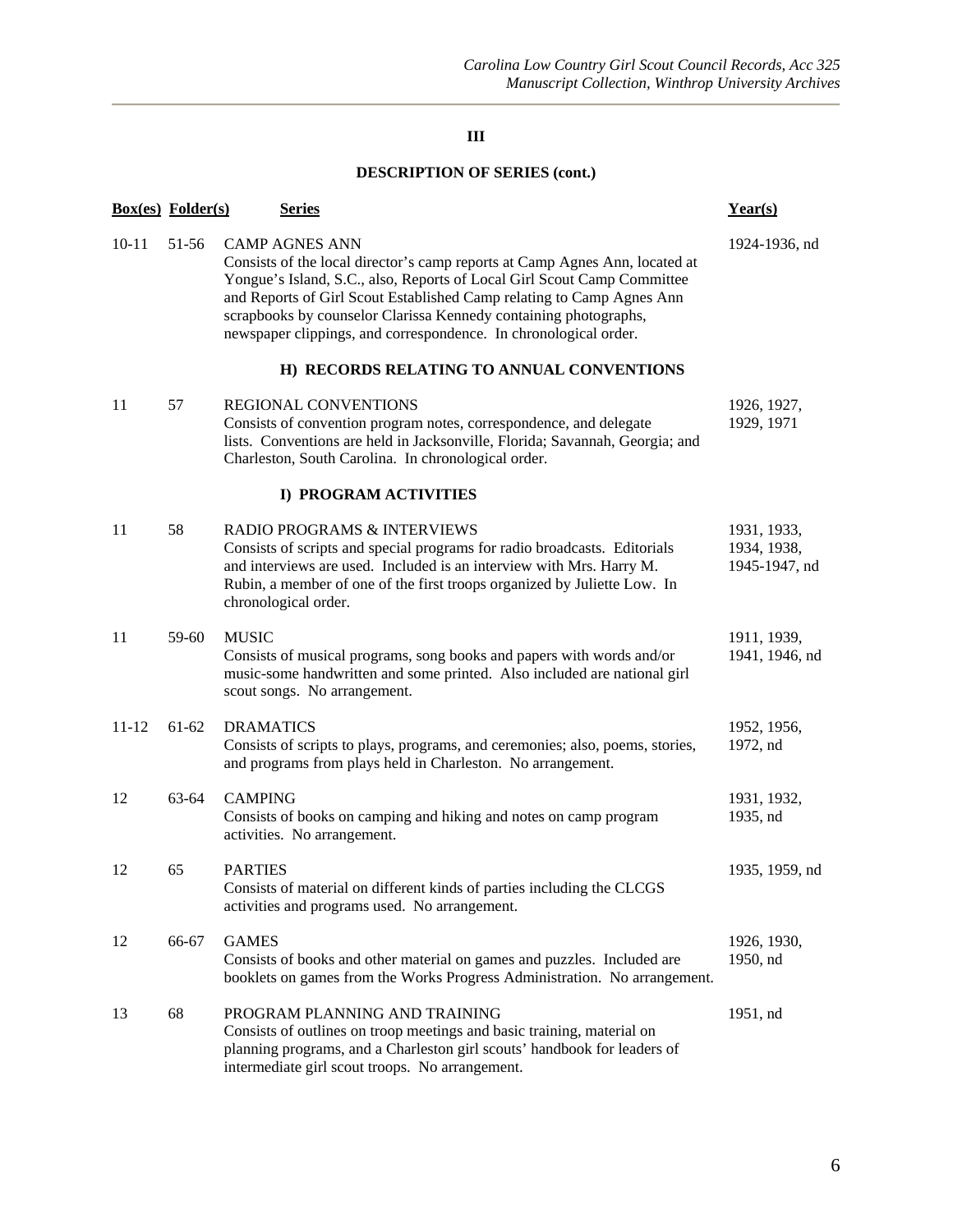|           | <b>Box(es)</b> Folder(s) |                  | <b>Series</b>                                                                                                                                                                                                                                                                                                                                                                                    | Year(s)                                     |  |  |  |  |
|-----------|--------------------------|------------------|--------------------------------------------------------------------------------------------------------------------------------------------------------------------------------------------------------------------------------------------------------------------------------------------------------------------------------------------------------------------------------------------------|---------------------------------------------|--|--|--|--|
| $10 - 11$ | 51-56                    |                  | <b>CAMP AGNES ANN</b><br>Consists of the local director's camp reports at Camp Agnes Ann, located at<br>Yongue's Island, S.C., also, Reports of Local Girl Scout Camp Committee<br>and Reports of Girl Scout Established Camp relating to Camp Agnes Ann<br>scrapbooks by counselor Clarissa Kennedy containing photographs,<br>newspaper clippings, and correspondence. In chronological order. | 1924-1936, nd                               |  |  |  |  |
|           |                          |                  | H) RECORDS RELATING TO ANNUAL CONVENTIONS                                                                                                                                                                                                                                                                                                                                                        |                                             |  |  |  |  |
| 11        | 57                       |                  | <b>REGIONAL CONVENTIONS</b><br>Consists of convention program notes, correspondence, and delegate<br>lists. Conventions are held in Jacksonville, Florida; Savannah, Georgia; and<br>Charleston, South Carolina. In chronological order.                                                                                                                                                         | 1926, 1927,<br>1929, 1971                   |  |  |  |  |
|           | I) PROGRAM ACTIVITIES    |                  |                                                                                                                                                                                                                                                                                                                                                                                                  |                                             |  |  |  |  |
| 11        | 58                       |                  | RADIO PROGRAMS & INTERVIEWS<br>Consists of scripts and special programs for radio broadcasts. Editorials<br>and interviews are used. Included is an interview with Mrs. Harry M.<br>Rubin, a member of one of the first troops organized by Juliette Low. In<br>chronological order.                                                                                                             | 1931, 1933,<br>1934, 1938,<br>1945-1947, nd |  |  |  |  |
| 11        | 59-60                    | <b>MUSIC</b>     | Consists of musical programs, song books and papers with words and/or<br>music-some handwritten and some printed. Also included are national girl<br>scout songs. No arrangement.                                                                                                                                                                                                                | 1911, 1939,<br>1941, 1946, nd               |  |  |  |  |
| $11 - 12$ | $61-62$                  | <b>DRAMATICS</b> | Consists of scripts to plays, programs, and ceremonies; also, poems, stories,<br>and programs from plays held in Charleston. No arrangement.                                                                                                                                                                                                                                                     | 1952, 1956,<br>1972, nd                     |  |  |  |  |
| 12        | 63-64                    | <b>CAMPING</b>   | Consists of books on camping and hiking and notes on camp program<br>activities. No arrangement.                                                                                                                                                                                                                                                                                                 | 1931, 1932,<br>1935, nd                     |  |  |  |  |
| 12        | 65                       | <b>PARTIES</b>   | Consists of material on different kinds of parties including the CLCGS<br>activities and programs used. No arrangement.                                                                                                                                                                                                                                                                          | 1935, 1959, nd                              |  |  |  |  |
| 12        | 66-67                    | <b>GAMES</b>     | Consists of books and other material on games and puzzles. Included are<br>booklets on games from the Works Progress Administration. No arrangement.                                                                                                                                                                                                                                             | 1926, 1930,<br>1950, nd                     |  |  |  |  |
| 13        | 68                       |                  | PROGRAM PLANNING AND TRAINING<br>Consists of outlines on troop meetings and basic training, material on<br>planning programs, and a Charleston girl scouts' handbook for leaders of<br>intermediate girl scout troops. No arrangement.                                                                                                                                                           | 1951, nd                                    |  |  |  |  |